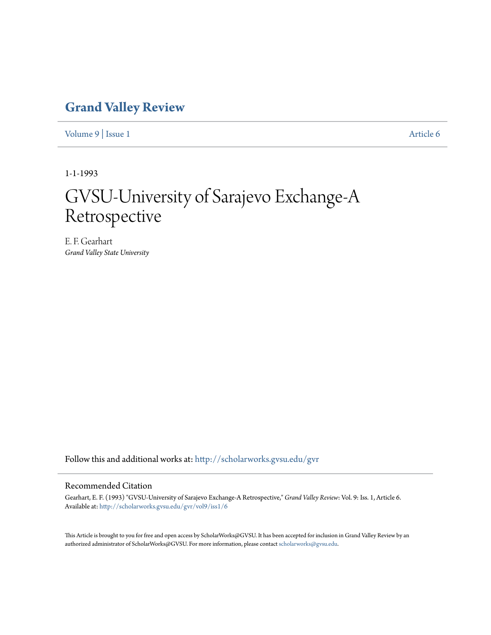## **[Grand Valley Review](http://scholarworks.gvsu.edu/gvr?utm_source=scholarworks.gvsu.edu%2Fgvr%2Fvol9%2Fiss1%2F6&utm_medium=PDF&utm_campaign=PDFCoverPages)**

[Volume 9](http://scholarworks.gvsu.edu/gvr/vol9?utm_source=scholarworks.gvsu.edu%2Fgvr%2Fvol9%2Fiss1%2F6&utm_medium=PDF&utm_campaign=PDFCoverPages) | [Issue 1](http://scholarworks.gvsu.edu/gvr/vol9/iss1?utm_source=scholarworks.gvsu.edu%2Fgvr%2Fvol9%2Fiss1%2F6&utm_medium=PDF&utm_campaign=PDFCoverPages) [Article 6](http://scholarworks.gvsu.edu/gvr/vol9/iss1/6?utm_source=scholarworks.gvsu.edu%2Fgvr%2Fvol9%2Fiss1%2F6&utm_medium=PDF&utm_campaign=PDFCoverPages)

1-1-1993

# GVSU-University of Sarajevo Exchange-A Retrospective

E. F. Gearhart *Grand Valley State University*

Follow this and additional works at: [http://scholarworks.gvsu.edu/gvr](http://scholarworks.gvsu.edu/gvr?utm_source=scholarworks.gvsu.edu%2Fgvr%2Fvol9%2Fiss1%2F6&utm_medium=PDF&utm_campaign=PDFCoverPages)

#### Recommended Citation

Gearhart, E. F. (1993) "GVSU-University of Sarajevo Exchange-A Retrospective," *Grand Valley Review*: Vol. 9: Iss. 1, Article 6. Available at: [http://scholarworks.gvsu.edu/gvr/vol9/iss1/6](http://scholarworks.gvsu.edu/gvr/vol9/iss1/6?utm_source=scholarworks.gvsu.edu%2Fgvr%2Fvol9%2Fiss1%2F6&utm_medium=PDF&utm_campaign=PDFCoverPages)

This Article is brought to you for free and open access by ScholarWorks@GVSU. It has been accepted for inclusion in Grand Valley Review by an authorized administrator of ScholarWorks@GVSU. For more information, please contact [scholarworks@gvsu.edu.](mailto:scholarworks@gvsu.edu)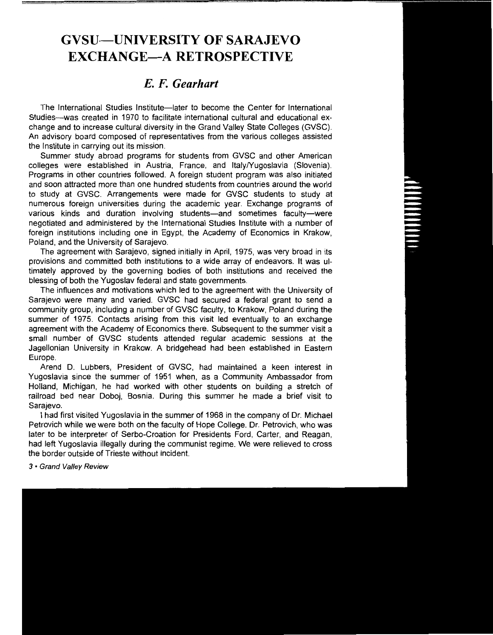## **GVSU-UNIVERSITY OF SARAJEVO EXCHANGE-A RETROSPECTIVE**

### *E. F. Gearhart*

The International Studies Institute-later to become the Center for International Studies--was created in 1970 to facilitate international cultural and educational exchange and to increase cultural diversity in the Grand Valley State Colleges (GVSC). An advisory board composed of representatives from the various colleges assisted the Institute in carrying out its mission.

Summer study abroad programs for students from GVSC and other American colleges were established in Austria, France, and Italy/Yugoslavia (Slovenia). Programs in other countries followed. A foreign student program was also initiated and soon attracted more than one hundred students from countries around the world to study at GVSC. Arrangements were made for GVSC students to study at numerous foreign universities during the academic year. Exchange programs of various kinds and duration involving students-and sometimes faculty-were negotiated and administered by the International Studies Institute with a number of foreign institutions including one in Egypt, the Academy of Economics in Krakow, Poland, and the University of Sarajevo.

The agreement with Sarajevo, signed initially in April, 1975, was very broad in its provisions and committed both institutions to a wide array of endeavors. It was ultimately approved by the governing bodies of both institutions and received the blessing of both the Yugoslav federal and state governments.

The influences and motivations which led to the agreement with the University of Sarajevo were many and varied. GVSC had secured a federal grant to send a community group, including a number of GVSC faculty, to Krakow, Poland during the summer of 1975. Contacts arising from this visit led eventually to an exchange agreement with the Academy of Economics there. Subsequent to the summer visit a small number of GVSC students attended regular academic sessions at the Jagellonian University in Krakow. A bridgehead had been established in Eastern Europe.

Arend D. Lubbers, President of GVSC, had maintained a keen interest in Yugoslavia since the summer of 1951 when, as a Community Ambassador from Holland, Michigan, he had worked with other students on building a stretch of railroad bed near Doboj, Bosnia. During this summer he made a brief visit to Sarajevo.

I had first visited Yugoslavia in the summer of 1968 in the company of Dr. Michael Petrovich while we were both on the faculty of Hope College. Dr. Petrovich, who was later to be interpreter of Serbo-Croation for Presidents Ford, Carter, and Reagan, had left Yugoslavia illegally during the communist regime. We were relieved to cross the border outside of Trieste without incident.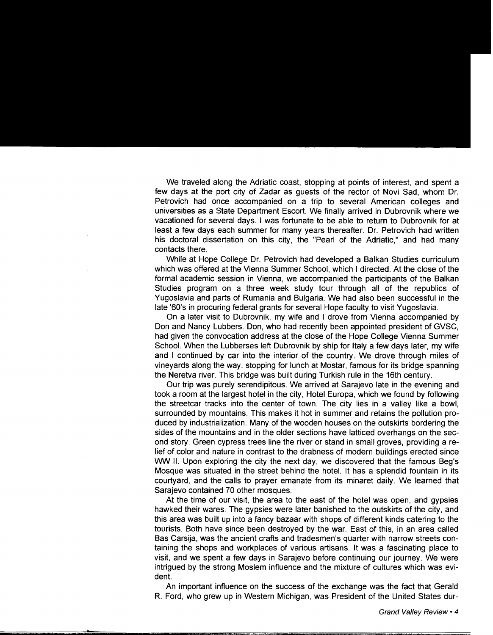We traveled along the Adriatic coast, stopping at points of interest, and spent a few days at the port city of Zadar as guests of the rector of Novi Sad, whom Dr. Petrovich had once accompanied on a trip to several American colleges and universities as a State Department Escort. We finally arrived in Dubrovnik where we vacationed for several days. I was fortunate to be able to return to Dubrovnik for at least a few days each summer for many years thereafter. Dr. Petrovich had written his doctoral dissertation on this city, the "Pearl of the Adriatic," and had many contacts there.

While at Hope College Dr. Petrovich had developed a Balkan Studies curriculum which was offered at the Vienna Summer School, which I directed. At the close of the formal academic session in Vienna, we accompanied the participants of the Balkan Studies program on a three week study tour through all of the republics of Yugoslavia and parts of Rumania and Bulgaria. We had also been successful in the late '60's in procuring federal grants for several Hope faculty to visit Yugoslavia.

On a later visit to Dubrovnik, my wife and I drove from Vienna accompanied by Don and Nancy Lubbers. Don, who had recently been appointed president of GVSC, had given the convocation address at the close of the Hope College Vienna Summer School. When the Lubberses left Dubrovnik by ship for Italy a few days later, my wife and I continued by car into the interior of the country. We drove through miles of vineyards along the way, stopping for lunch at Mostar, famous for its bridge spanning the Neretva river. This bridge was built during Turkish rule in the 16th century.

Our trip was purely serendipitous. We arrived at Sarajevo late in the evening and took a room at the largest hotel in the city, Hotel Europa, which we found by following the streetcar tracks into the center of town. The city lies in a valley like a bowl, surrounded by mountains. This makes it hot in summer and retains the pollution produced by industrialization. Many of the wooden houses on the outskirts bordering the sides of the mountains and in the older sections have latticed overhangs on the second story. Green cypress trees line the river or stand in small groves, providing a relief of color and nature in contrast to the drabness of modern buildings erected since WW II. Upon exploring the city the next day, we discovered that the famous Beg's Mosque was situated in the street behind the hotel. It has a splendid fountain in its courtyard, and the calls to prayer emanate from its minaret daily. We learned that Sarajevo contained 70 other mosques.

At the time of our visit, the area to the east of the hotel was open, and gypsies hawked their wares. The gypsies were later banished to the outskirts of the city, and this area was built up into a fancy bazaar with shops of different kinds catering to the tourists. Both have since been destroyed by the war. East of this, in an area called Bas Carsija, was the ancient crafts and tradesmen's quarter with narrow streets containing the shops and workplaces of various artisans. It was a fascinating place to visit, and we spent a few days in Sarajevo before continuing our journey. We were intrigued by the strong Moslem influence and the mixture of cultures which was evident.

An important influence on the success of the exchange was the fact that Gerald R. Ford, who grew up in Western Michigan, was President of the United States dur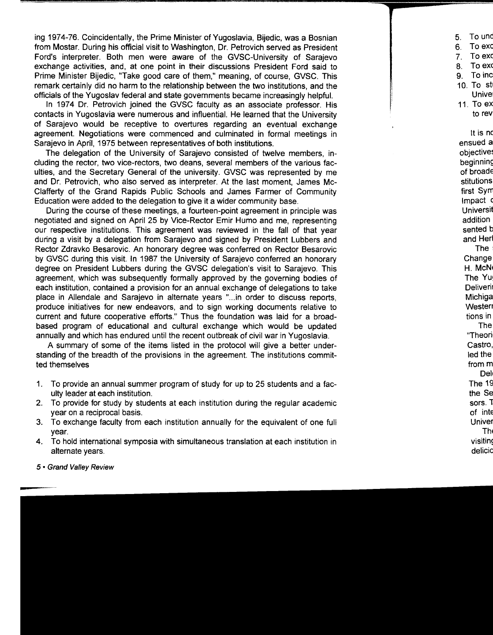ing 1974-76. Coincidentally, the Prime Minister of Yugoslavia, Bijedic, was a Bosnian from Mostar. During his official visit to Washington, Dr. Petrovich served as President Ford's interpreter. Both men were aware of the GVSC-University of Sarajevo exchange activities, and, at one point in their discussions President Ford said to Prime Minister Bijedic, "Take good care of them," meaning, of course, GVSC. This remark certainly did no harm to the relationship between the two institutions, and the officials of the Yugoslav federal and state governments became increasingly helpful.

In 1974 Dr. Petrovich joined the GVSC faculty as an associate professor. His contacts in Yugoslavia were numerous and influential. He learned that the University of Sarajevo would be receptive to overtures regarding an eventual exchange agreement. Negotiations were commenced and culminated in formal meetings in Sarajevo in April, 1975 between representatives of both institutions.

The delegation of the University of Sarajevo consisted of twelve members, including the rector, two vice-rectors, two deans, several members of the various faculties, and the Secretary General of the university. GVSC was represented by me and Dr. Petrovich, who also served as interpreter. At the last moment, James Mc-Clafferty of the Grand Rapids Public Schools and James Farmer of Community Education were added to the delegation to give it a wider community base.

During the course of these meetings, a fourteen-point agreement in principle was negotiated and signed on April 25 by Vice-Rector Emir Humo and me, representing our respective institutions. This agreement was reviewed in the fall of that year during a visit by a delegation from Sarajevo and signed by President Lubbers and Rector Zdravko Besarovic. An honorary degree was conferred on Rector Besarovic by GVSC during this visit. In 1987 the University of Sarajevo conferred an honorary degree on President Lubbers during the GVSC delegation's visit to Sarajevo. This agreement, which was subsequently formally approved by the governing bodies of each institution, contained a provision for an annual exchange of delegations to take place in Allendale and Sarajevo in alternate years " ... in order to discuss reports, produce initiatives for new endeavors, and to sign working documents relative to current and future cooperative efforts." Thus the foundation was laid for a broadbased program of educational and cultural exchange which would be updated annually and which has endured until the recent outbreak of civil war in Yugoslavia.

A summary of some of the items listed in the protocol will give a better understanding of the breadth of the provisions in the agreement. The institutions committed themselves

- 1. To provide an annual summer program of study for up to 25 students and a faculty leader at each institution.
- 2. To provide for study by students at each institution during the regular academic year on a reciprocal basis.
- 3. To exchange faculty from each institution annually for the equivalent of one full year.
- 4. To hold international symposia with simultaneous translation at each institution in alternate years.
- 5 Grand Valley Review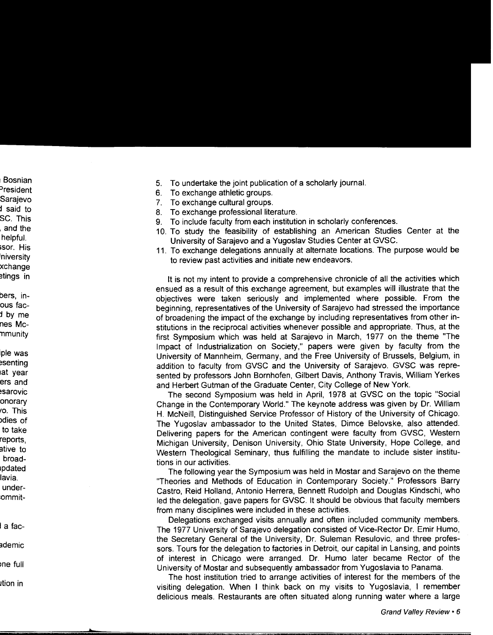- 5. To undertake the joint publication of a scholarly journal.
- 6. To exchange athletic groups.
- 7. To exchange cultural groups.
- 8. To exchange professional literature.
- 9. To include faculty from each institution in scholarly conferences.
- 10. To study the feasibility of establishing an American Studies Center at the University of Sarajevo and a Yugoslav Studies Center at GVSC.
- 11. To exchange delegations annually at alternate locations. The purpose would be to review past activities and initiate new endeavors.

It is not my intent to provide a comprehensive chronicle of all the activities which ensued as a result of this exchange agreement, but examples will illustrate that the objectives were taken seriously and implemented where possible. From the beginning, representatives of the University of Sarajevo had stressed the importance of broadening the impact of the exchange by including representatives from other institutions in the reciprocal activities whenever possible and appropriate. Thus, at the first Symposium which was held at Sarajevo in March, 1977 on the theme "The Impact of Industrialization on Society," papers were given by faculty from the University of Mannheim, Germany, and the Free University of Brussels, Belgium, in addition to faculty from GVSC and the University of Sarajevo. GVSC was represented by professors John Bornhofen, Gilbert Davis, Anthony Travis, William Yerkes and Herbert Gutman of the Graduate Center, City College of New York.

The second Symposium was held in April, 1978 at GVSC on the topic "Social Change in the Contemporary World." The keynote address was given by Dr. William H. McNeill, Distinguished Service Professor of History of the University of Chicago. The Yugoslav ambassador to the United States, Dimce Belovske, also attended. Delivering papers for the American contingent were faculty from GVSC, Western Michigan University, Denison University, Ohio State University, Hope College, and Western Theological Seminary, thus fulfilling the mandate to include sister institutions in our activities.

The following year the Symposium was held in Mostar and Sarajevo on the theme "Theories and Methods of Education in Contemporary Society." Professors Barry Castro, Reid Holland, Antonio Herrera, Bennett Rudolph and Douglas Kindschi, who led the delegation, gave papers for GVSC. It should be obvious that faculty members from many disciplines were included in these activities.

Delegations exchanged visits annually and often included community members. The 1977 University of Sarajevo delegation consisted of Vice-Rector Dr. Emir Humo, the Secretary General of the University, Dr. Suleman Resulovic, and three professors. Tours for the delegation to factories in Detroit, our capital in Lansing, and points of interest in Chicago were arranged. Dr. Humo later became Rector of the University of Mostar and subsequently ambassador from Yugoslavia to Panama.

The host institution tried to arrange activities of interest for the members of the visiting delegation. When I think back on my visits to Yugoslavia, I remember delicious meals. Restaurants are often situated along running water where a large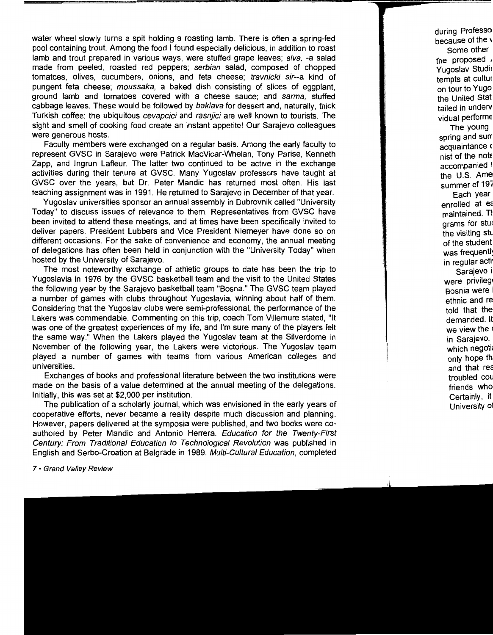water wheel slowly turns a spit holding a roasting lamb. There is often a spring-fed pool containing trout. Among the food I found especially delicious, in addition to roast lamb and trout prepared in various ways, were stuffed grape leaves; aiva, -a salad made from peeled, roasted red peppers; serbian salad, composed of chopped tomatoes, olives, cucumbers, onions, and feta cheese; travnicki sir--a kind of pungent feta cheese; moussaka, a baked dish consisting of slices of eggplant, ground lamb and tomatoes covered with a cheese sauce; and sarma, stuffed cabbage leaves. These would be followed by baklava for dessert and, naturally, thick Turkish coffee: the ubiquitous cevapcici and rasnjici are well known to tourists. The sight and smell of cooking food create an instant appetite! Our Sarajevo colleagues were generous hosts.

Faculty members were exchanged on a regular basis. Among the early faculty to represent GVSC in Sarajevo were Patrick MacVicar-Whelan, Tony Parise, Kenneth Zapp, and lngrun Lafleur. The latter two continued to be active in the exchange activities during their tenure at GVSC. Many Yugoslav professors have taught at GVSC over the years, but Dr. Peter Mandie has returned most often. His last teaching assignment was in 1991. He returned to Sarajevo in December of that year.

Yugoslav universities sponsor an annual assembly in Dubrovnik called "University Today" to discuss issues of relevance to them. Representatives from GVSC have been invited to attend these meetings, and at times have been specifically invited to deliver papers. President Lubbers and Vice President Niemeyer have done so on different occasions. For the sake of convenience and economy, the annual meeting of delegations has often been held in conjunction with the "University Today" when hosted by the University of Sarajevo.

The most noteworthy exchange of athletic groups to date has been the trip to Yugoslavia in 1976 by the GVSC basketball team and the visit to the United States the following year by the Sarajevo basketball team "Sosna." The GVSC team played a number of games with clubs throughout Yugoslavia, winning about half of them. Considering that the Yugoslav clubs were semi-professional, the performance of the Lakers was commendable. Commenting on this trip, coach Tom Villemure stated, "It was one of the greatest experiences of my life, and I'm sure many of the players felt the same way." When the Lakers played the Yugoslav team at the Silverdome in November of the following year, the Lakers were victorious. The Yugoslav team played a number of games with teams from various American colleges and universities.

Exchanges of books and professional literature between the two institutions were made on the basis of a value determined at the annual meeting of the delegations. Initially, this was set at \$2,000 per institution.

The publication of a scholarly journal, which was envisioned in the early years of cooperative efforts, never became a reality despite much discussion and planning. However, papers delivered at the symposia were published, and two books were coauthored by Peter Mandie and Antonio Herrera. Education for the Twenty-First Century: From Traditional Education to Technological Revolution was published in English and Serbo-Croation at Belgrade in 1989. Multi-Cultural Education, completed